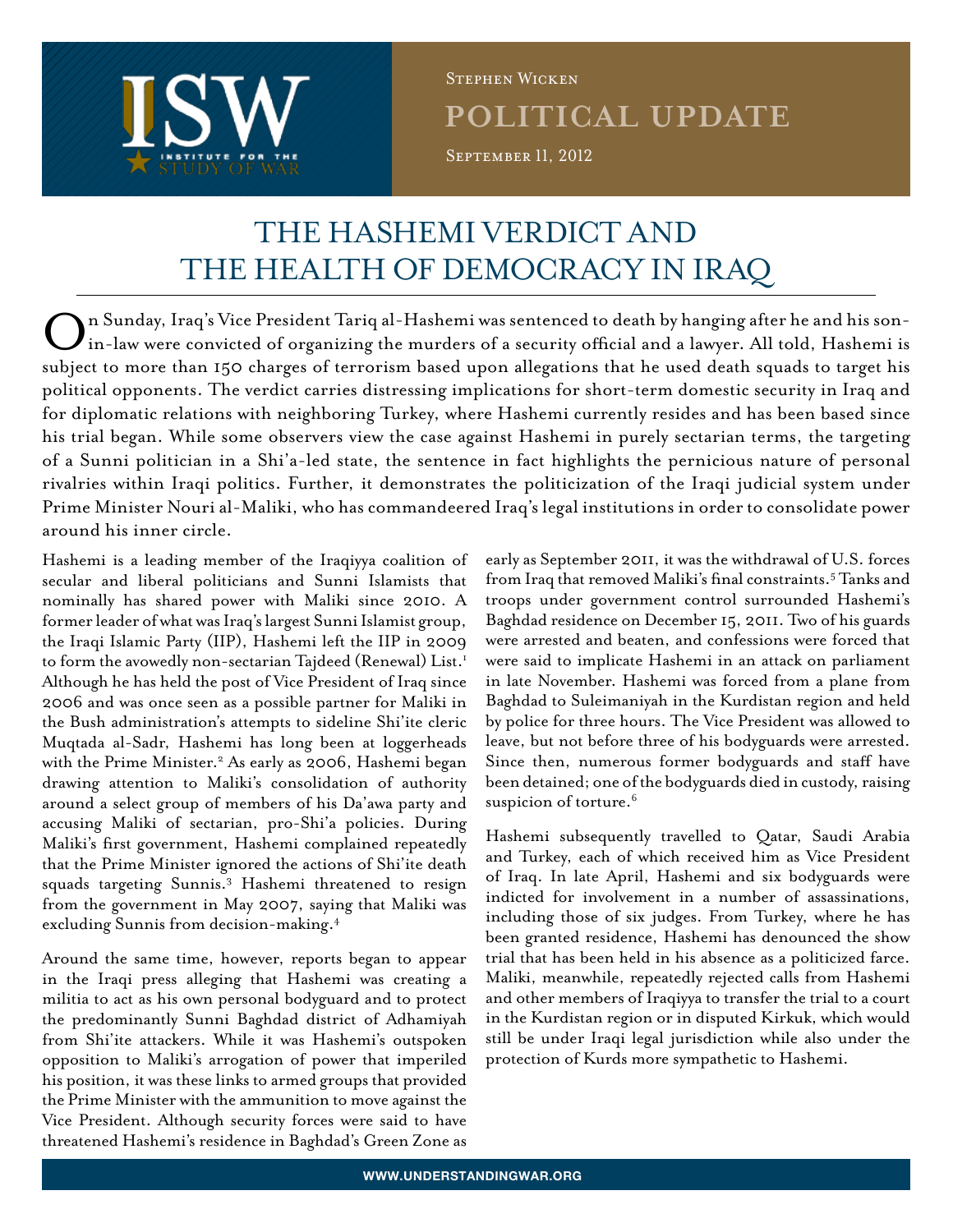

**POLITICAL UPDATE** SEPTEMBER 11, 2012 Stephen Wicken

# The Hashemi Verdict and the Health of Democracy in Iraq

On Sunday, Iraq's Vice President Tariq al-Hashemi was sentenced to death by hanging after he and his sonin-law were convicted of organizing the murders of a security official and a lawyer. All told, Hashemi is subject to more than 150 charges of terrorism based upon allegations that he used death squads to target his political opponents. The verdict carries distressing implications for short-term domestic security in Iraq and for diplomatic relations with neighboring Turkey, where Hashemi currently resides and has been based since his trial began. While some observers view the case against Hashemi in purely sectarian terms, the targeting of a Sunni politician in a Shi'a-led state, the sentence in fact highlights the pernicious nature of personal rivalries within Iraqi politics. Further, it demonstrates the politicization of the Iraqi judicial system under Prime Minister Nouri al-Maliki, who has commandeered Iraq's legal institutions in order to consolidate power around his inner circle.

Hashemi is a leading member of the Iraqiyya coalition of secular and liberal politicians and Sunni Islamists that nominally has shared power with Maliki since 2010. A former leader of what was Iraq's largest Sunni Islamist group, the Iraqi Islamic Party (IIP), Hashemi left the IIP in 2009 to form the avowedly non-sectarian Tajdeed (Renewal) List.<sup>1</sup> Although he has held the post of Vice President of Iraq since 2006 and was once seen as a possible partner for Maliki in the Bush administration's attempts to sideline Shi'ite cleric Muqtada al-Sadr, Hashemi has long been at loggerheads with the Prime Minister.<sup>2</sup> As early as 2006, Hashemi began drawing attention to Maliki's consolidation of authority around a select group of members of his Da'awa party and accusing Maliki of sectarian, pro-Shi'a policies. During Maliki's first government, Hashemi complained repeatedly that the Prime Minister ignored the actions of Shi'ite death squads targeting Sunnis.3 Hashemi threatened to resign from the government in May 2007, saying that Maliki was excluding Sunnis from decision-making.4

Around the same time, however, reports began to appear in the Iraqi press alleging that Hashemi was creating a militia to act as his own personal bodyguard and to protect the predominantly Sunni Baghdad district of Adhamiyah from Shi'ite attackers. While it was Hashemi's outspoken opposition to Maliki's arrogation of power that imperiled his position, it was these links to armed groups that provided the Prime Minister with the ammunition to move against the Vice President. Although security forces were said to have threatened Hashemi's residence in Baghdad's Green Zone as

early as September 2011, it was the withdrawal of U.S. forces from Iraq that removed Maliki's final constraints.<sup>5</sup> Tanks and troops under government control surrounded Hashemi's Baghdad residence on December 15, 2011. Two of his guards were arrested and beaten, and confessions were forced that were said to implicate Hashemi in an attack on parliament in late November. Hashemi was forced from a plane from Baghdad to Suleimaniyah in the Kurdistan region and held by police for three hours. The Vice President was allowed to leave, but not before three of his bodyguards were arrested. Since then, numerous former bodyguards and staff have been detained; one of the bodyguards died in custody, raising suspicion of torture.<sup>6</sup>

Hashemi subsequently travelled to Qatar, Saudi Arabia and Turkey, each of which received him as Vice President of Iraq. In late April, Hashemi and six bodyguards were indicted for involvement in a number of assassinations, including those of six judges. From Turkey, where he has been granted residence, Hashemi has denounced the show trial that has been held in his absence as a politicized farce. Maliki, meanwhile, repeatedly rejected calls from Hashemi and other members of Iraqiyya to transfer the trial to a court in the Kurdistan region or in disputed Kirkuk, which would still be under Iraqi legal jurisdiction while also under the protection of Kurds more sympathetic to Hashemi.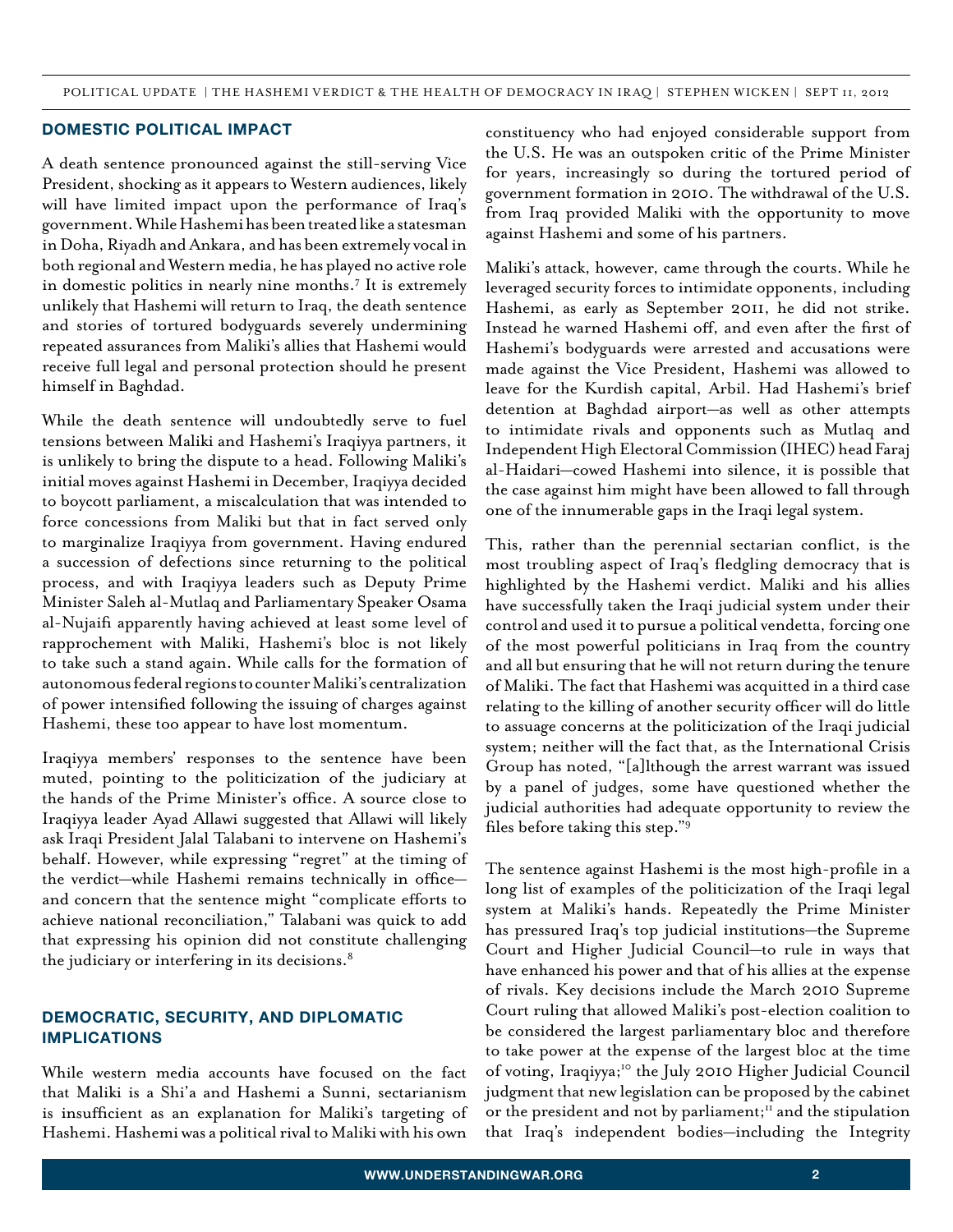#### **Domestic political impact**

A death sentence pronounced against the still-serving Vice President, shocking as it appears to Western audiences, likely will have limited impact upon the performance of Iraq's government. While Hashemi has been treated like a statesman in Doha, Riyadh and Ankara, and has been extremely vocal in both regional and Western media, he has played no active role in domestic politics in nearly nine months.7 It is extremely unlikely that Hashemi will return to Iraq, the death sentence and stories of tortured bodyguards severely undermining repeated assurances from Maliki's allies that Hashemi would receive full legal and personal protection should he present himself in Baghdad.

While the death sentence will undoubtedly serve to fuel tensions between Maliki and Hashemi's Iraqiyya partners, it is unlikely to bring the dispute to a head. Following Maliki's initial moves against Hashemi in December, Iraqiyya decided to boycott parliament, a miscalculation that was intended to force concessions from Maliki but that in fact served only to marginalize Iraqiyya from government. Having endured a succession of defections since returning to the political process, and with Iraqiyya leaders such as Deputy Prime Minister Saleh al-Mutlaq and Parliamentary Speaker Osama al-Nujaifi apparently having achieved at least some level of rapprochement with Maliki, Hashemi's bloc is not likely to take such a stand again. While calls for the formation of autonomous federal regions to counter Maliki's centralization of power intensified following the issuing of charges against Hashemi, these too appear to have lost momentum.

Iraqiyya members' responses to the sentence have been muted, pointing to the politicization of the judiciary at the hands of the Prime Minister's office. A source close to Iraqiyya leader Ayad Allawi suggested that Allawi will likely ask Iraqi President Jalal Talabani to intervene on Hashemi's behalf. However, while expressing "regret" at the timing of the verdict—while Hashemi remains technically in office and concern that the sentence might "complicate efforts to achieve national reconciliation," Talabani was quick to add that expressing his opinion did not constitute challenging the judiciary or interfering in its decisions.<sup>8</sup>

## **Democratic, security, and diplomatic implications**

While western media accounts have focused on the fact that Maliki is a Shi'a and Hashemi a Sunni, sectarianism is insufficient as an explanation for Maliki's targeting of Hashemi. Hashemi was a political rival to Maliki with his own constituency who had enjoyed considerable support from the U.S. He was an outspoken critic of the Prime Minister for years, increasingly so during the tortured period of government formation in 2010. The withdrawal of the U.S. from Iraq provided Maliki with the opportunity to move against Hashemi and some of his partners.

Maliki's attack, however, came through the courts. While he leveraged security forces to intimidate opponents, including Hashemi, as early as September 2011, he did not strike. Instead he warned Hashemi off, and even after the first of Hashemi's bodyguards were arrested and accusations were made against the Vice President, Hashemi was allowed to leave for the Kurdish capital, Arbil. Had Hashemi's brief detention at Baghdad airport—as well as other attempts to intimidate rivals and opponents such as Mutlaq and Independent High Electoral Commission (IHEC) head Faraj al-Haidari—cowed Hashemi into silence, it is possible that the case against him might have been allowed to fall through one of the innumerable gaps in the Iraqi legal system.

This, rather than the perennial sectarian conflict, is the most troubling aspect of Iraq's fledgling democracy that is highlighted by the Hashemi verdict. Maliki and his allies have successfully taken the Iraqi judicial system under their control and used it to pursue a political vendetta, forcing one of the most powerful politicians in Iraq from the country and all but ensuring that he will not return during the tenure of Maliki. The fact that Hashemi was acquitted in a third case relating to the killing of another security officer will do little to assuage concerns at the politicization of the Iraqi judicial system; neither will the fact that, as the International Crisis Group has noted, "[a]lthough the arrest warrant was issued by a panel of judges, some have questioned whether the judicial authorities had adequate opportunity to review the files before taking this step."<sup>9</sup>

The sentence against Hashemi is the most high-profile in a long list of examples of the politicization of the Iraqi legal system at Maliki's hands. Repeatedly the Prime Minister has pressured Iraq's top judicial institutions—the Supreme Court and Higher Judicial Council—to rule in ways that have enhanced his power and that of his allies at the expense of rivals. Key decisions include the March 2010 Supreme Court ruling that allowed Maliki's post-election coalition to be considered the largest parliamentary bloc and therefore to take power at the expense of the largest bloc at the time of voting, Iraqiyya;<sup>10</sup> the July 2010 Higher Judicial Council judgment that new legislation can be proposed by the cabinet or the president and not by parliament; $^{\text{II}}$  and the stipulation that Iraq's independent bodies—including the Integrity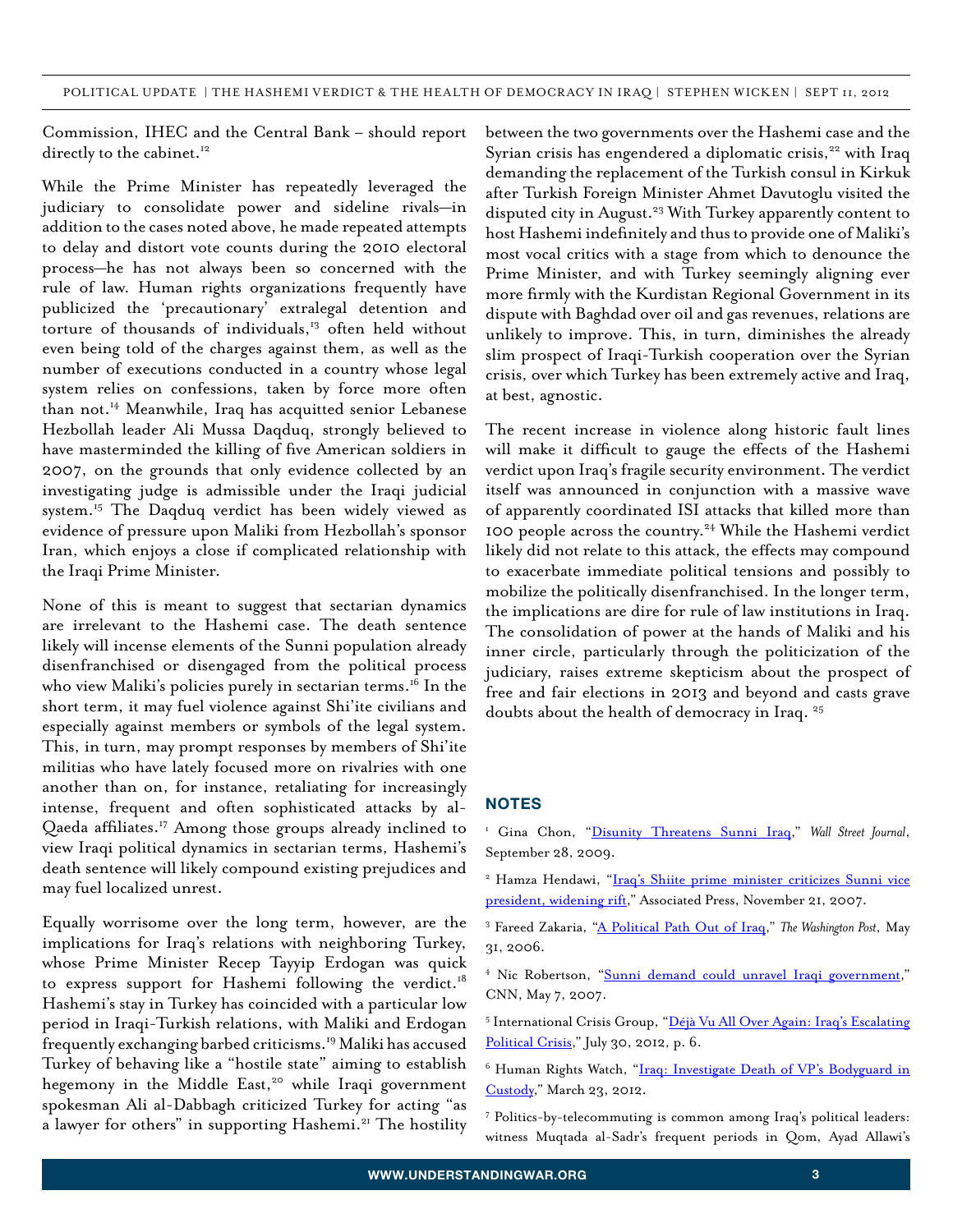Commission, IHEC and the Central Bank – should report directly to the cabinet.<sup>12</sup>

While the Prime Minister has repeatedly leveraged the judiciary to consolidate power and sideline rivals—in addition to the cases noted above, he made repeated attempts to delay and distort vote counts during the 2010 electoral process—he has not always been so concerned with the rule of law. Human rights organizations frequently have publicized the 'precautionary' extralegal detention and torture of thousands of individuals,13 often held without even being told of the charges against them, as well as the number of executions conducted in a country whose legal system relies on confessions, taken by force more often than not.14 Meanwhile, Iraq has acquitted senior Lebanese Hezbollah leader Ali Mussa Daqduq, strongly believed to have masterminded the killing of five American soldiers in 2007, on the grounds that only evidence collected by an investigating judge is admissible under the Iraqi judicial system.<sup>15</sup> The Daqduq verdict has been widely viewed as evidence of pressure upon Maliki from Hezbollah's sponsor Iran, which enjoys a close if complicated relationship with the Iraqi Prime Minister.

None of this is meant to suggest that sectarian dynamics are irrelevant to the Hashemi case. The death sentence likely will incense elements of the Sunni population already disenfranchised or disengaged from the political process who view Maliki's policies purely in sectarian terms.<sup>16</sup> In the short term, it may fuel violence against Shi'ite civilians and especially against members or symbols of the legal system. This, in turn, may prompt responses by members of Shi'ite militias who have lately focused more on rivalries with one another than on, for instance, retaliating for increasingly intense, frequent and often sophisticated attacks by al-Qaeda affiliates.<sup>17</sup> Among those groups already inclined to view Iraqi political dynamics in sectarian terms, Hashemi's death sentence will likely compound existing prejudices and may fuel localized unrest.

Equally worrisome over the long term, however, are the implications for Iraq's relations with neighboring Turkey, whose Prime Minister Recep Tayyip Erdogan was quick to express support for Hashemi following the verdict.<sup>18</sup> Hashemi's stay in Turkey has coincided with a particular low period in Iraqi-Turkish relations, with Maliki and Erdogan frequently exchanging barbed criticisms.<sup>19</sup> Maliki has accused Turkey of behaving like a "hostile state" aiming to establish hegemony in the Middle East,<sup>20</sup> while Iraqi government spokesman Ali al-Dabbagh criticized Turkey for acting "as a lawyer for others" in supporting Hashemi.<sup>21</sup> The hostility

between the two governments over the Hashemi case and the Syrian crisis has engendered a diplomatic crisis,<sup>22</sup> with Iraq demanding the replacement of the Turkish consul in Kirkuk after Turkish Foreign Minister Ahmet Davutoglu visited the disputed city in August.<sup>23</sup> With Turkey apparently content to host Hashemi indefinitely and thus to provide one of Maliki's most vocal critics with a stage from which to denounce the Prime Minister, and with Turkey seemingly aligning ever more firmly with the Kurdistan Regional Government in its dispute with Baghdad over oil and gas revenues, relations are unlikely to improve. This, in turn, diminishes the already slim prospect of Iraqi-Turkish cooperation over the Syrian crisis, over which Turkey has been extremely active and Iraq, at best, agnostic.

The recent increase in violence along historic fault lines will make it difficult to gauge the effects of the Hashemi verdict upon Iraq's fragile security environment. The verdict itself was announced in conjunction with a massive wave of apparently coordinated ISI attacks that killed more than 100 people across the country.24 While the Hashemi verdict likely did not relate to this attack, the effects may compound to exacerbate immediate political tensions and possibly to mobilize the politically disenfranchised. In the longer term, the implications are dire for rule of law institutions in Iraq. The consolidation of power at the hands of Maliki and his inner circle, particularly through the politicization of the judiciary, raises extreme skepticism about the prospect of free and fair elections in 2013 and beyond and casts grave doubts about the health of democracy in Iraq.<sup>25</sup>

### **NOTES**

<sup>1</sup> Gina Chon, "Disunity Threatens Sunni Iraq," Wall Street Journal, September 28, 2009.

- <sup>2</sup> Hamza Hendawi, "Iraq's Shiite prime minister criticizes Sunni vice president, widening rift," Associated Press, November 21, 2007.
- <sup>3</sup> Fareed Zakaria, "A Political Path Out of Iraq," The Washington Post, May 31, 2006.
- <sup>4</sup> Nic Robertson, "Sunni demand could unravel Iraqi government," CNN, May 7, 2007.
- <sup>5</sup> International Crisis Group, "Déjà Vu All Over Again: Iraq's Escalating Political Crisis," July 30, 2012, p. 6.
- <sup>6</sup> Human Rights Watch, "Iraq: Investigate Death of VP's Bodyguard in Custody," March 23, 2012.
- 7 Politics-by-telecommuting is common among Iraq's political leaders: witness Muqtada al-Sadr's frequent periods in Qom, Ayad Allawi's